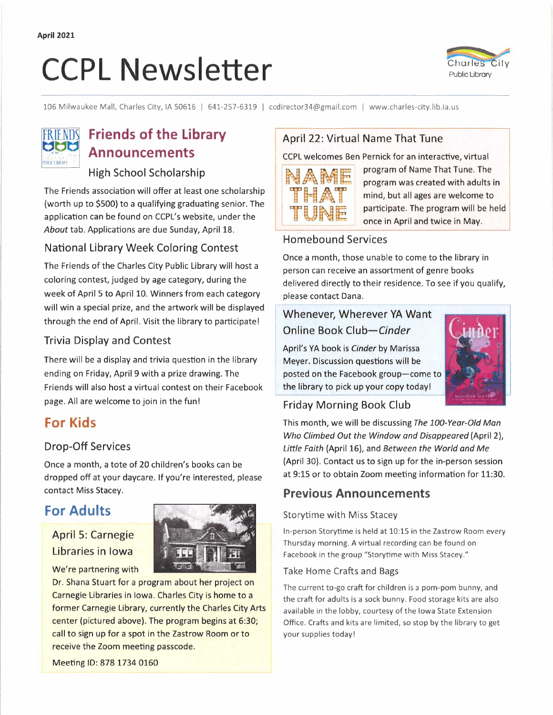# CCPL Newsletter **CLAUGE CLAUGE CLAUGE CLAUGE CLAUGE CLAUGE CLAUGE CLAUGE CLAUGE**



106 Milwaukee Mall, Charles City, IA 50616 | 641-257-6319 | ccdirector34@gmail.com | www.charles-city.lib.ia.us



## **FRIENDS** Friends of the Library **Announcements**

## High School Scholarship

The Friends association will offer at least one scholarship (worth up to \$500) to a qualifying graduating senior. The application can be found on CCPL's website, under the *About* tab. Applications are due Sunday, April 18.

### National Library Week Coloring Contest

The Friends of the Charles City Public Library will host a coloring contest, judged by age category, during the week of April 5 to April 10. Winners from each category will win a special prize, and the artwork will be displayed through the end of April. Visit the library to participate!

#### Trivia Display and Contest

There will be a display and trivia question in the library ending on Friday, April 9 with a prize drawing. The Friends will also host a virtual contest on their Facebook page. All are welcome to join in the fun!

## **For Kids**

## Drop-Off Services

Once a month, a tote of 20 children's books can be dropped off at your daycare. If you're interested, please contact Miss Stacey.

## **For Adults**

## April 5: Carnegie Libraries in Iowa

We're partnering with



Dr. Shana Stuart for a program about her project on Carnegie Libraries in Iowa. Charles City is home to a former Carnegie Library, currently the Charles City Arts center (pictured above). The program begins at 6:30; call to sign up for a spot in the Zastrow Room or to receive the Zoom meeting passcode.

Meeting ID: 878 1734 0160

## April 22: Virtual Name That Tune

CCPL welcomes Ben Pernick for an interactive, virtual



program of Name That Tune. The program was created with adults in mind, but all ages are welcome to participate. The program will be held once in April and twice in May.

### Homebound Services

Once a month, those unable to come to the library in person can receive an assortment of genre books delivered directly to their residence. To see if you qualify, please contact Dana.

## Whenever, Wherever YA Want Online Book *Club-Cinder*

<sup>1</sup>April's YA book is *Cinder* by Marissa ' Meyer. Discussion questions will be posted on the Facebook group-come to the library to pick up your copy today!



## Friday Morning Book Club

This month, we will be discussing *The 100-Year-Old Man Who Climbed Out the Window and Disappeared* (April 2), *Little Faith* (April 16), and *Between the World and Me*  (April 30). Contact us to sign up for the in-person session at 9:15 or to obtain Zoom meeting information for 11:30.

## **Previous Announcements**

#### Storytime with Miss Stacey

In-person Storytime is held at 10:15 in the Zastrow Room every Thursday morning. A virtual recording can be found on Facebook in the group "Storytime with Miss Stacey."

#### Take Home Crafts and Bags

The current to-go craft for children is a pom-pom bunny, and the craft for adults is a sock bunny. Food storage kits are also available in the lobby, courtesy of the Iowa State Extension Office. Crafts and kits are limited, so stop by the library to get your supplies today!